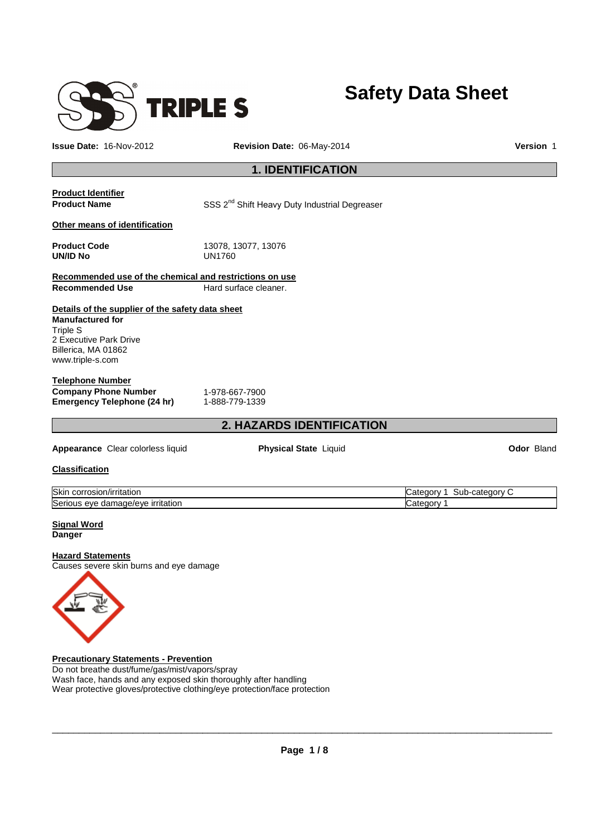

# **Safety Data Sheet**

**Issue Date:** 16-Nov-2012 **Revision Date:** 06-May-2014 **Version** 1

# **1. IDENTIFICATION**

**Product Identifier** 

**Product Name SSS 2<sup>nd</sup> Shift Heavy Duty Industrial Degreaser** 

**Other means of identification** 

**Product Code** 13078, 13077, 13076 **UN/ID No** UN1760

**Recommended use of the chemical and restrictions on use Recommended Use Hard surface cleaner.** 

#### **Details of the supplier of the safety data sheet Manufactured for** Triple S

2 Executive Park Drive Billerica, MA 01862 www.triple-s.com

#### **Telephone Number Company Phone Number** 1-978-667-7900<br> **Emergency Telephone (24 hr)** 1-888-779-1339 **Emergency Telephone (24 hr)**

# **2. HAZARDS IDENTIFICATION**

**Appearance** Clear colorless liquid **Physical State** Liquid **Odor** Bland

#### **Classification**

| <b>Skir</b><br>corrosion/irritation               | . .<br>∙cateɑorv<br>onrv<br>$-1$<br>-sub |
|---------------------------------------------------|------------------------------------------|
| Seri<br>irritation<br>. damage/eve<br>eve<br>้วนร | . .<br>ำteaorv<br>vale<br>. .            |

#### **Signal Word Danger**

#### **Hazard Statements**

Causes severe skin burns and eye damage



**Precautionary Statements - Prevention** Do not breathe dust/fume/gas/mist/vapors/spray Wash face, hands and any exposed skin thoroughly after handling Wear protective gloves/protective clothing/eye protection/face protection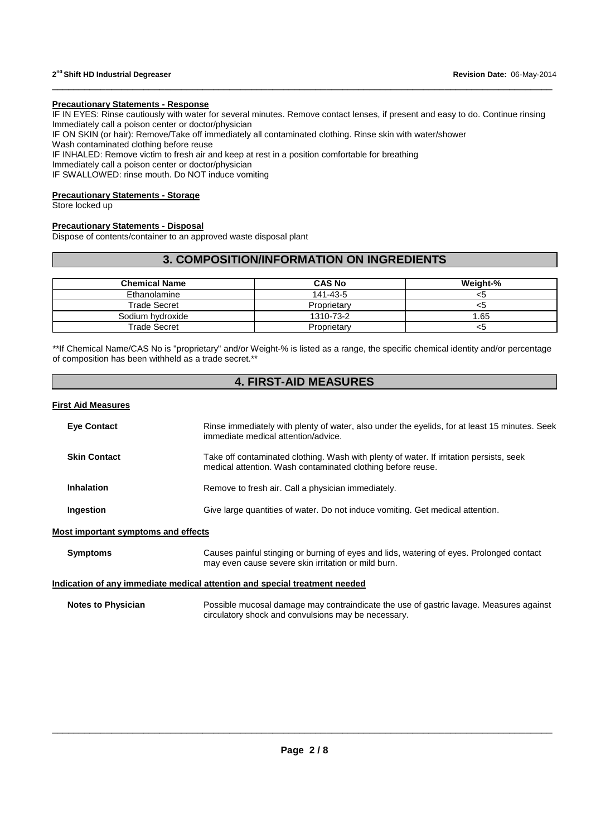#### **Precautionary Statements - Response**

IF IN EYES: Rinse cautiously with water for several minutes. Remove contact lenses, if present and easy to do. Continue rinsing Immediately call a poison center or doctor/physician

\_\_\_\_\_\_\_\_\_\_\_\_\_\_\_\_\_\_\_\_\_\_\_\_\_\_\_\_\_\_\_\_\_\_\_\_\_\_\_\_\_\_\_\_\_\_\_\_\_\_\_\_\_\_\_\_\_\_\_\_\_\_\_\_\_\_\_\_\_\_\_\_\_\_\_\_\_\_\_\_\_\_\_\_\_\_\_\_\_\_\_\_\_

IF ON SKIN (or hair): Remove/Take off immediately all contaminated clothing. Rinse skin with water/shower

Wash contaminated clothing before reuse

IF INHALED: Remove victim to fresh air and keep at rest in a position comfortable for breathing

Immediately call a poison center or doctor/physician

IF SWALLOWED: rinse mouth. Do NOT induce vomiting

#### **Precautionary Statements - Storage**

Store locked up

#### **Precautionary Statements - Disposal**

Dispose of contents/container to an approved waste disposal plant

# **3. COMPOSITION/INFORMATION ON INGREDIENTS**

| <b>Chemical Name</b> | <b>CAS No</b> | Weight-% |
|----------------------|---------------|----------|
| Ethanolamine         | 141-43-5      | <5       |
| Trade Secret         | Proprietary   | <ວ       |
| Sodium hydroxide     | 1310-73-2     | 1.65     |
| <b>Trade Secret</b>  | Proprietary   | <5       |

\*\*If Chemical Name/CAS No is "proprietary" and/or Weight-% is listed as a range, the specific chemical identity and/or percentage of composition has been withheld as a trade secret.\*\*

# **4. FIRST-AID MEASURES**

#### **First Aid Measures**

| <b>Eve Contact</b>  | Rinse immediately with plenty of water, also under the eyelids, for at least 15 minutes. Seek<br>immediate medical attention/advice.                   |
|---------------------|--------------------------------------------------------------------------------------------------------------------------------------------------------|
| <b>Skin Contact</b> | Take off contaminated clothing. Wash with plenty of water. If irritation persists, seek<br>medical attention. Wash contaminated clothing before reuse. |
| <b>Inhalation</b>   | Remove to fresh air. Call a physician immediately.                                                                                                     |
| Ingestion           | Give large quantities of water. Do not induce vomiting. Get medical attention.                                                                         |

#### **Most important symptoms and effects**

| <b>Symptoms</b>                                                            | Causes painful stinging or burning of eyes and lids, watering of eyes. Prolonged contact<br>may even cause severe skin irritation or mild burn. |  |  |  |
|----------------------------------------------------------------------------|-------------------------------------------------------------------------------------------------------------------------------------------------|--|--|--|
| Indication of any immediate medical attention and special treatment needed |                                                                                                                                                 |  |  |  |
| <b>Notes to Physician</b>                                                  | Possible mucosal damage may contraindicate the use of gastric lavage. Measures against<br>circulatory shock and convulsions may be necessary.   |  |  |  |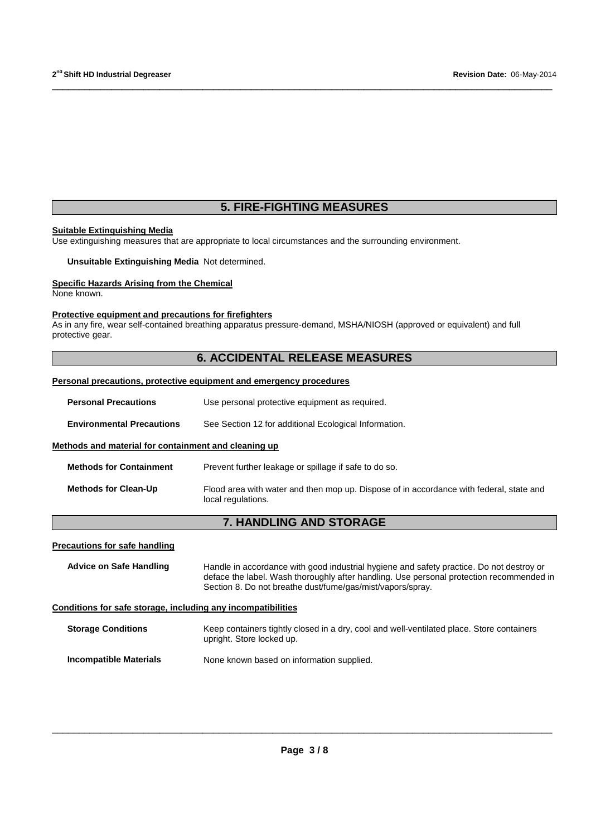# **5. FIRE-FIGHTING MEASURES**

\_\_\_\_\_\_\_\_\_\_\_\_\_\_\_\_\_\_\_\_\_\_\_\_\_\_\_\_\_\_\_\_\_\_\_\_\_\_\_\_\_\_\_\_\_\_\_\_\_\_\_\_\_\_\_\_\_\_\_\_\_\_\_\_\_\_\_\_\_\_\_\_\_\_\_\_\_\_\_\_\_\_\_\_\_\_\_\_\_\_\_\_\_

#### **Suitable Extinguishing Media**

Use extinguishing measures that are appropriate to local circumstances and the surrounding environment.

**Unsuitable Extinguishing Media** Not determined.

#### **Specific Hazards Arising from the Chemical**

None known.

#### **Protective equipment and precautions for firefighters**

As in any fire, wear self-contained breathing apparatus pressure-demand, MSHA/NIOSH (approved or equivalent) and full protective gear.

# **6. ACCIDENTAL RELEASE MEASURES**

#### **Personal precautions, protective equipment and emergency procedures**

| <b>Personal Precautions</b>                                  | Use personal protective equipment as required.                                                                                                         |
|--------------------------------------------------------------|--------------------------------------------------------------------------------------------------------------------------------------------------------|
| <b>Environmental Precautions</b>                             | See Section 12 for additional Ecological Information.                                                                                                  |
| Methods and material for containment and cleaning up         |                                                                                                                                                        |
| <b>Methods for Containment</b>                               | Prevent further leakage or spillage if safe to do so.                                                                                                  |
| <b>Methods for Clean-Up</b>                                  | Flood area with water and then mop up. Dispose of in accordance with federal, state and<br>local regulations.                                          |
|                                                              | <b>7. HANDLING AND STORAGE</b>                                                                                                                         |
| <b>Precautions for safe handling</b>                         |                                                                                                                                                        |
| <b>Advice on Safe Handling</b>                               | Handle in accordance with good industrial hygiene and safety practice. Do not destroy or                                                               |
|                                                              | deface the label. Wash thoroughly after handling. Use personal protection recommended in<br>Section 8. Do not breathe dust/fume/gas/mist/vapors/spray. |
| Conditions for safe storage, including any incompatibilities |                                                                                                                                                        |
| <b>Storage Conditions</b>                                    | Keep containers tightly closed in a dry, cool and well-ventilated place. Store containers<br>upright. Store locked up.                                 |
| <b>Incompatible Materials</b>                                | None known based on information supplied.                                                                                                              |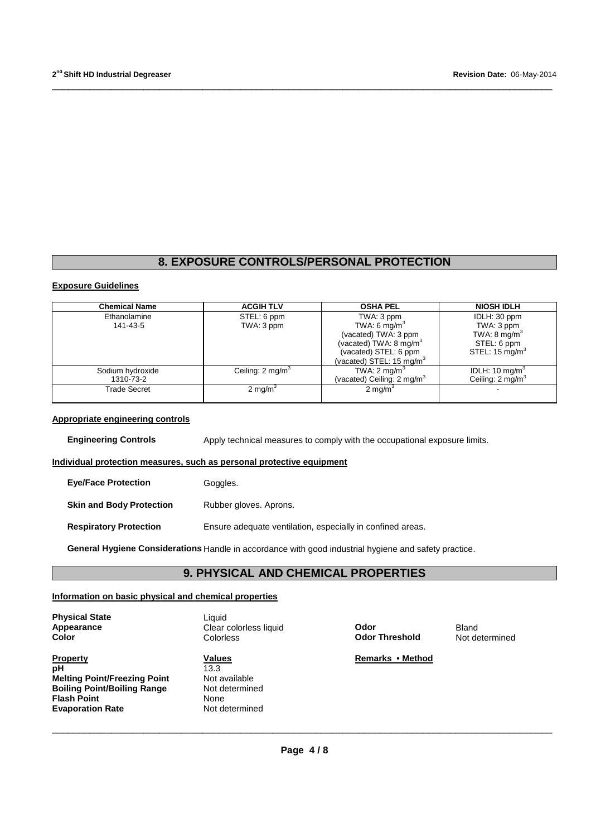# **8. EXPOSURE CONTROLS/PERSONAL PROTECTION**

\_\_\_\_\_\_\_\_\_\_\_\_\_\_\_\_\_\_\_\_\_\_\_\_\_\_\_\_\_\_\_\_\_\_\_\_\_\_\_\_\_\_\_\_\_\_\_\_\_\_\_\_\_\_\_\_\_\_\_\_\_\_\_\_\_\_\_\_\_\_\_\_\_\_\_\_\_\_\_\_\_\_\_\_\_\_\_\_\_\_\_\_\_

#### **Exposure Guidelines**

| <b>Chemical Name</b> | <b>ACGIH TLV</b>            | <b>OSHA PEL</b>                       | <b>NIOSH IDLH</b>            |
|----------------------|-----------------------------|---------------------------------------|------------------------------|
| Ethanolamine         | STEL: 6 ppm                 | TWA: 3 ppm                            | IDLH: 30 ppm                 |
| 141-43-5             | TWA: 3 ppm                  | TWA: 6 mg/m <sup>3</sup>              | TWA: 3 ppm                   |
|                      |                             | (vacated) TWA: 3 ppm                  | TWA: $8 \text{ mg/m}^3$      |
|                      |                             | (vacated) TWA: 8 mg/m $3$             | STEL: 6 ppm                  |
|                      |                             | (vacated) STEL: 6 ppm                 | STEL: 15 mg/m <sup>3</sup>   |
|                      |                             | (vacated) STEL: $15 \text{ mg/m}^3$   |                              |
| Sodium hydroxide     | Ceiling: $2 \text{ ma/m}^3$ | TWA: $2 \text{ mg/m}^3$               | IDLH: 10 mg/m <sup>3</sup>   |
| 1310-73-2            |                             | (vacated) Ceiling: $2 \text{ mg/m}^3$ | Ceiling: 2 mg/m <sup>3</sup> |
| <b>Trade Secret</b>  | $2 \text{ mg/m}^3$          | 2 mg/m <sup>3</sup>                   |                              |
|                      |                             |                                       |                              |

#### **Appropriate engineering controls**

**Engineering Controls** Apply technical measures to comply with the occupational exposure limits.

#### **Individual protection measures, such as personal protective equipment**

| <b>Eve/Face Protection</b>      | Goggles.                                                   |
|---------------------------------|------------------------------------------------------------|
| <b>Skin and Body Protection</b> | Rubber gloves. Aprons.                                     |
| <b>Respiratory Protection</b>   | Ensure adequate ventilation, especially in confined areas. |

**General Hygiene Considerations** Handle in accordance with good industrial hygiene and safety practice.

# **9. PHYSICAL AND CHEMICAL PROPERTIES**

#### **Information on basic physical and chemical properties**

| <b>Physical State</b> |  |
|-----------------------|--|
| <b>Appearance</b>     |  |
| Color                 |  |

**Property CONSIDERENT METHOD Values Values Remarks • Method Remarks • Method Property**<br> **pH** 13.3<br> **Melting Point/Freezing Point** Not available **Melting Point/Freezing Point Conduct and Not available Boiling Point/Boiling Range And Not determined Boiling Point/Boiling Range Flash Point** None **Evaporation Rate Not determined** 

**Liquid Appearance** Clear colorless liquid **Odor** Bland **Colorless Color Color Color Color Color Color Color Color Color Color Color Color Color Color Color Color Color Color Color Color Color Color Color Color Color Color Color Color Color Color Color Color Color Color Color**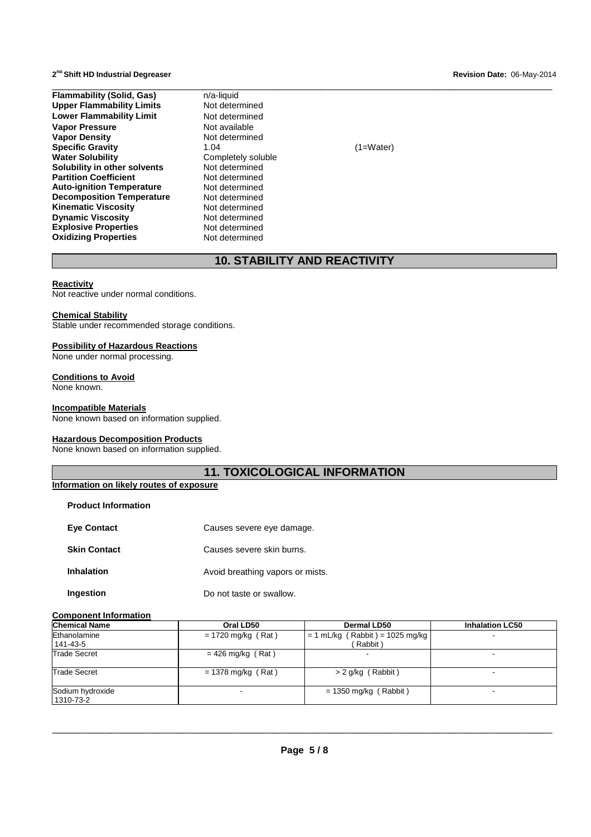**Flammability (Solid, Gas) n/a-liquid**<br> **Upper Flammability Limits** Not determined **Upper Flammability Limits Lower Flammability Limit Not determined Vapor Pressure Not available Vapor Pressure<br>Vapor Density Specific Gravity 1.04** (1=Water)<br> **Water Solubility Completely soluble Solubility in other solvents Not determined**<br>**Partition Coefficient Not determined Partition Coefficient Not determined**<br> **Auto-ignition Temperature** Not determined **Auto-ignition Temperature Decomposition Temperature Not determined**<br>**Kinematic Viscosity Not determined Kinematic Viscosity Dynamic Viscosity**<br> **Explosive Properties**<br>
Not determined **Explosive Properties Not determined**<br> **Oxidizing Properties Not determined Oxidizing Properties** 

**Not determined Completely soluble**<br>Not determined

# **10. STABILITY AND REACTIVITY**

#### **Reactivity**

Not reactive under normal conditions.

#### **Chemical Stability**

Stable under recommended storage conditions.

#### **Possibility of Hazardous Reactions**

None under normal processing.

#### **Conditions to Avoid**

None known.

#### **Incompatible Materials**

None known based on information supplied.

#### **Hazardous Decomposition Products**

None known based on information supplied.

# **11. TOXICOLOGICAL INFORMATION**

| Information on likely routes of exposure |  |  |  |
|------------------------------------------|--|--|--|
|                                          |  |  |  |

| <b>Product Information</b> |                                  |
|----------------------------|----------------------------------|
| <b>Eve Contact</b>         | Causes severe eye damage.        |
| <b>Skin Contact</b>        | Causes severe skin burns.        |
| <b>Inhalation</b>          | Avoid breathing vapors or mists. |
| Ingestion                  | Do not taste or swallow.         |

#### **Component Information**

| <b>Chemical Name</b>          | Oral LD50            | <b>Dermal LD50</b>                           | <b>Inhalation LC50</b> |
|-------------------------------|----------------------|----------------------------------------------|------------------------|
| Ethanolamine<br>141-43-5      | $= 1720$ mg/kg (Rat) | $= 1$ mL/kg (Rabbit) = 1025 mg/kg<br>Rabbit) |                        |
| <b>Trade Secret</b>           | $= 426$ mg/kg (Rat)  |                                              |                        |
| <b>Trade Secret</b>           | $= 1378$ mg/kg (Rat) | $> 2$ g/kg (Rabbit)                          | -                      |
| Sodium hydroxide<br>1310-73-2 |                      | $= 1350$ mg/kg (Rabbit)                      | -                      |

\_\_\_\_\_\_\_\_\_\_\_\_\_\_\_\_\_\_\_\_\_\_\_\_\_\_\_\_\_\_\_\_\_\_\_\_\_\_\_\_\_\_\_\_\_\_\_\_\_\_\_\_\_\_\_\_\_\_\_\_\_\_\_\_\_\_\_\_\_\_\_\_\_\_\_\_\_\_\_\_\_\_\_\_\_\_\_\_\_\_\_\_\_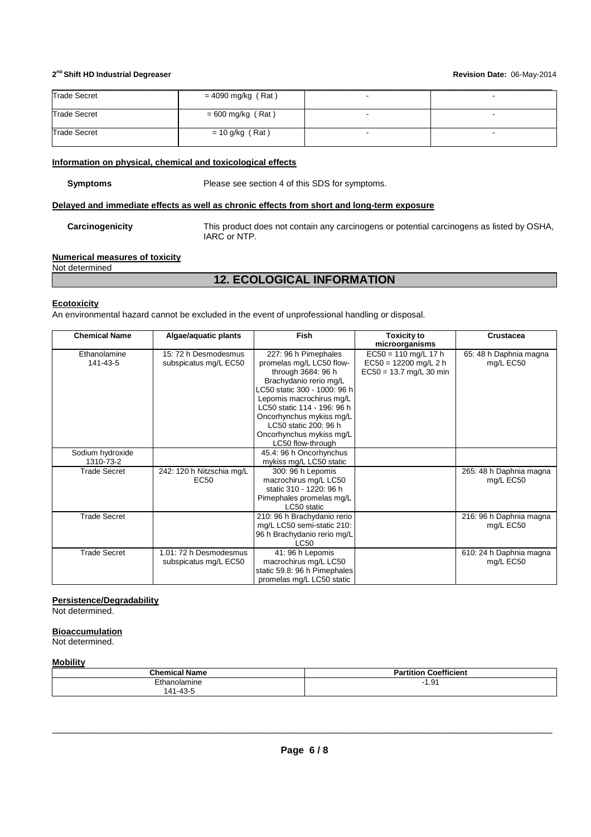| <b>Trade Secret</b> | $= 4090$ mg/kg (Rat) |  |
|---------------------|----------------------|--|
| <b>Trade Secret</b> | $= 600$ mg/kg (Rat)  |  |
| <b>Trade Secret</b> | $= 10$ g/kg (Rat)    |  |
|                     |                      |  |

#### **Information on physical, chemical and toxicological effects**

| Symptoms |  |
|----------|--|
|----------|--|

Please see section 4 of this SDS for symptoms.

## **Delayed and immediate effects as well as chronic effects from short and long-term exposure**

**Carcinogenicity** This product does not contain any carcinogens or potential carcinogens as listed by OSHA, IARC or NTP.

# **Numerical measures of toxicity**

Not determined

# **12. ECOLOGICAL INFORMATION**

#### **Ecotoxicity**

An environmental hazard cannot be excluded in the event of unprofessional handling or disposal.

| <b>Chemical Name</b> | Algae/aquatic plants      | <b>Fish</b>                  | <b>Toxicity to</b>        | Crustacea               |
|----------------------|---------------------------|------------------------------|---------------------------|-------------------------|
|                      |                           |                              | microorganisms            |                         |
| Ethanolamine         | 15: 72 h Desmodesmus      | 227: 96 h Pimephales         | $EC50 = 110$ mg/L 17 h    | 65: 48 h Daphnia magna  |
| 141-43-5             | subspicatus mg/L EC50     | promelas mg/L LC50 flow-     | $EC50 = 12200$ mg/L 2 h   | mg/L EC50               |
|                      |                           | through 3684: 96 h           | $EC50 = 13.7$ mg/L 30 min |                         |
|                      |                           | Brachydanio rerio mg/L       |                           |                         |
|                      |                           | LC50 static 300 - 1000: 96 h |                           |                         |
|                      |                           | Lepomis macrochirus mg/L     |                           |                         |
|                      |                           | LC50 static 114 - 196: 96 h  |                           |                         |
|                      |                           | Oncorhynchus mykiss mg/L     |                           |                         |
|                      |                           | LC50 static 200: 96 h        |                           |                         |
|                      |                           | Oncorhynchus mykiss mg/L     |                           |                         |
|                      |                           | LC50 flow-through            |                           |                         |
| Sodium hydroxide     |                           | 45.4: 96 h Oncorhynchus      |                           |                         |
| 1310-73-2            |                           | mykiss mg/L LC50 static      |                           |                         |
| <b>Trade Secret</b>  | 242: 120 h Nitzschia mg/L | 300: 96 h Lepomis            |                           | 265: 48 h Daphnia magna |
|                      | <b>EC50</b>               | macrochirus mg/L LC50        |                           | mg/L EC50               |
|                      |                           | static 310 - 1220: 96 h      |                           |                         |
|                      |                           | Pimephales promelas mg/L     |                           |                         |
|                      |                           | LC50 static                  |                           |                         |
| <b>Trade Secret</b>  |                           | 210: 96 h Brachydanio rerio  |                           | 216: 96 h Daphnia magna |
|                      |                           | mg/L LC50 semi-static 210:   |                           | mg/L EC50               |
|                      |                           | 96 h Brachydanio rerio mg/L  |                           |                         |
|                      |                           | LC50                         |                           |                         |
| <b>Trade Secret</b>  | 1.01: 72 h Desmodesmus    | 41: 96 h Lepomis             |                           | 610: 24 h Daphnia magna |
|                      | subspicatus mg/L EC50     | macrochirus mg/L LC50        |                           | mg/L EC50               |
|                      |                           | static 59.8: 96 h Pimephales |                           |                         |
|                      |                           | promelas mg/L LC50 static    |                           |                         |

#### **Persistence/Degradability**

Not determined.

#### **Bioaccumulation**

Not determined.

#### **Mobility**

|                                      | $- - -$<br>Coetticient<br>titior<br>άΙ |
|--------------------------------------|----------------------------------------|
| mine<br>าลเ<br>эгаг<br>$-42$<br>٬ 41 | 1.91                                   |
| ີ່⊤ບ                                 |                                        |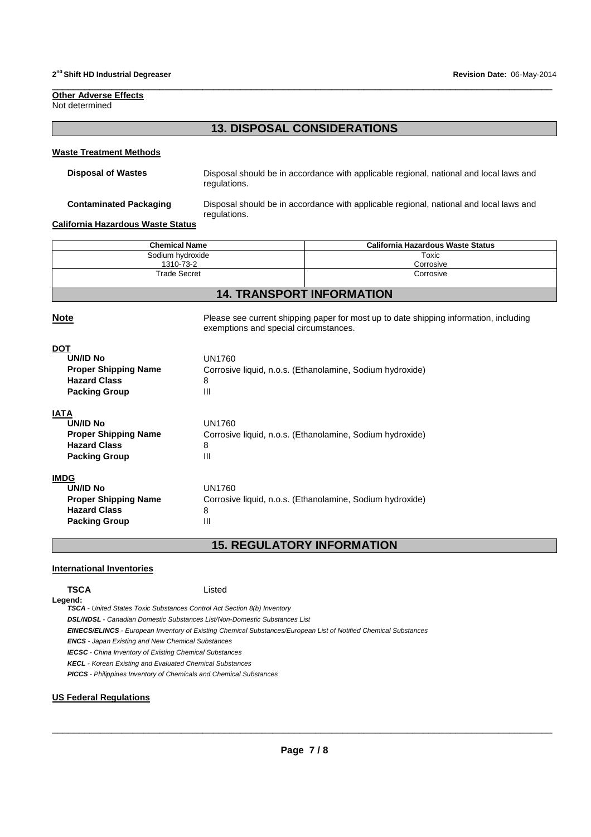#### **Other Adverse Effects** Not determined

# **13. DISPOSAL CONSIDERATIONS**

\_\_\_\_\_\_\_\_\_\_\_\_\_\_\_\_\_\_\_\_\_\_\_\_\_\_\_\_\_\_\_\_\_\_\_\_\_\_\_\_\_\_\_\_\_\_\_\_\_\_\_\_\_\_\_\_\_\_\_\_\_\_\_\_\_\_\_\_\_\_\_\_\_\_\_\_\_\_\_\_\_\_\_\_\_\_\_\_\_\_\_\_\_

#### **Waste Treatment Methods**

**Disposal of Wastes** Disposal should be in accordance with applicable regional, national and local laws and regulations.

**Contaminated Packaging** Disposal should be in accordance with applicable regional, national and local laws and regulations.

**California Hazardous Waste Status** 

| <b>Chemical Name</b> | California Hazardous Waste Status |  |
|----------------------|-----------------------------------|--|
| Sodium hydroxide     | Toxic                             |  |
| 1310-73-2            | Corrosive                         |  |
| <b>Trade Secret</b>  | Corrosive                         |  |

# **14. TRANSPORT INFORMATION**

**Note Please see current shipping paper for most up to date shipping information, including** 

| exemptions and special circumstances.                     |
|-----------------------------------------------------------|
|                                                           |
| UN1760                                                    |
| Corrosive liquid, n.o.s. (Ethanolamine, Sodium hydroxide) |
| 8                                                         |
| Ш                                                         |
|                                                           |
| UN1760                                                    |
| Corrosive liquid, n.o.s. (Ethanolamine, Sodium hydroxide) |
| 8                                                         |
| Ш                                                         |
|                                                           |
| UN1760                                                    |
| Corrosive liquid, n.o.s. (Ethanolamine, Sodium hydroxide) |
| 8                                                         |
| Ш                                                         |
|                                                           |

**15. REGULATORY INFORMATION** 

#### **International Inventories**

**TSCA** Listed

**Legend: TSCA** - United States Toxic Substances Control Act Section 8(b) Inventory

**DSL/NDSL** - Canadian Domestic Substances List/Non-Domestic Substances List

**EINECS/ELINCS** - European Inventory of Existing Chemical Substances/European List of Notified Chemical Substances

**ENCS** - Japan Existing and New Chemical Substances

**IECSC** - China Inventory of Existing Chemical Substances

**KECL** - Korean Existing and Evaluated Chemical Substances

**PICCS** - Philippines Inventory of Chemicals and Chemical Substances

### **US Federal Regulations**